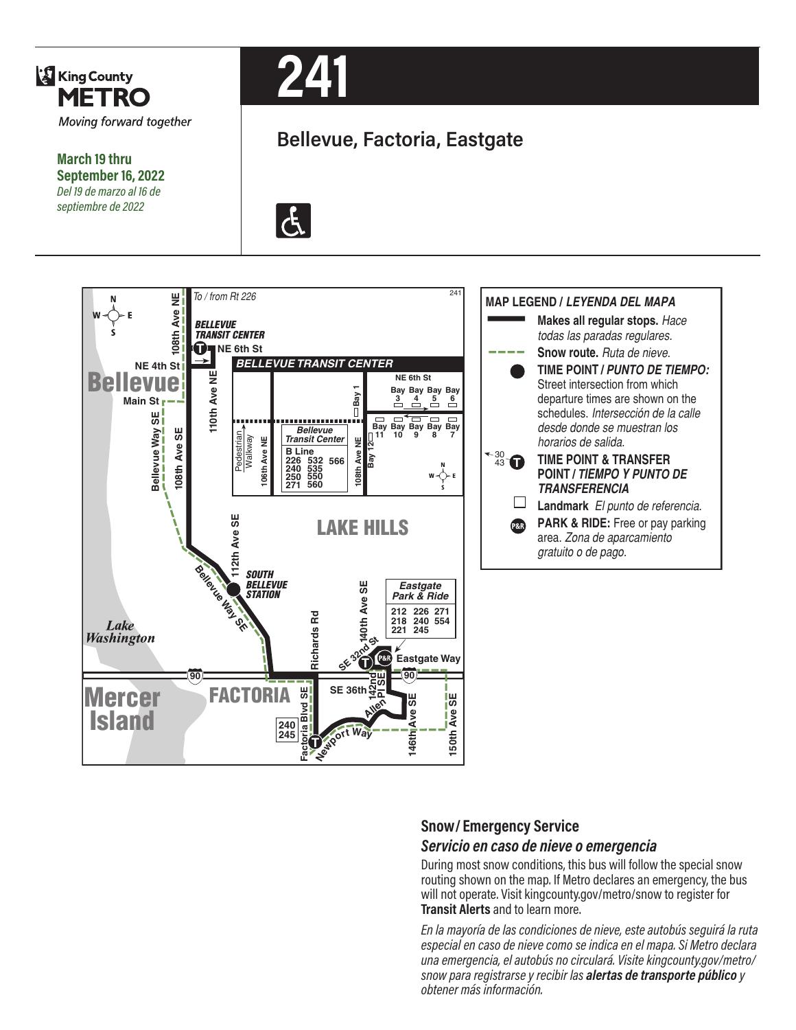

**March 19 thru September 16, 2022** *Del 19 de marzo al 16 de septiembre de 2022*



# **Bellevue, Factoria, Eastgate**





#### **Snow/ Emergency Service**  *Servicio en caso de nieve o emergencia*

During most snow conditions, this bus will follow the special snow routing shown on the map. If Metro declares an emergency, the bus will not operate. Visit kingcounty.gov/metro/snow to register for **Transit Alerts** and to learn more.

*En la mayoría de las condiciones de nieve, este autobús seguirá la ruta especial en caso de nieve como se indica en el mapa. Si Metro declara una emergencia, el autobús no circulará. Visite kingcounty.gov/metro/ snow para registrarse y recibir las alertas de transporte público y obtener más información.*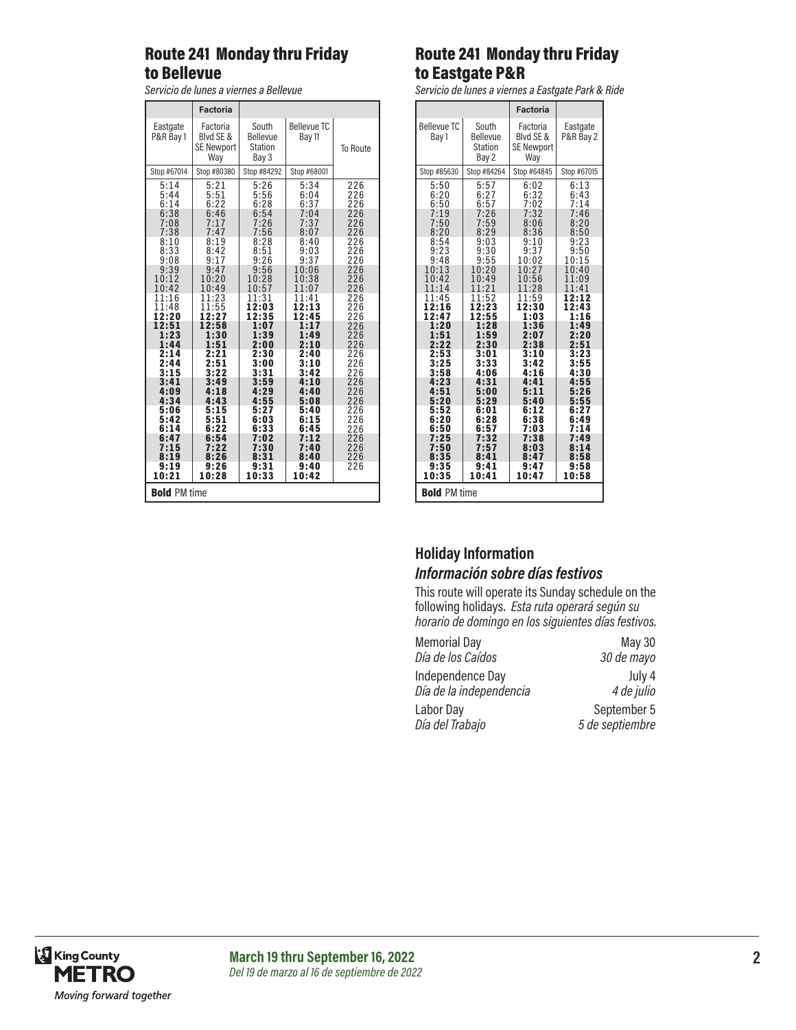## Route 241 Monday thru Friday to Bellevue

*Servicio de lunes a viernes a Bellevue*

|                                                                                                                                                                                                                                    | <b>Factoria</b>                                                                                                                                                                                                                    |                                                                                                                                                                                                                                   |                                                                                                                                                                                                                                        |                                                                                                                                                                                                  |
|------------------------------------------------------------------------------------------------------------------------------------------------------------------------------------------------------------------------------------|------------------------------------------------------------------------------------------------------------------------------------------------------------------------------------------------------------------------------------|-----------------------------------------------------------------------------------------------------------------------------------------------------------------------------------------------------------------------------------|----------------------------------------------------------------------------------------------------------------------------------------------------------------------------------------------------------------------------------------|--------------------------------------------------------------------------------------------------------------------------------------------------------------------------------------------------|
| Eastgate<br>P&R Bay 1                                                                                                                                                                                                              | Factoria<br>Blvd SE &<br><b>SE Newport</b><br>Wav                                                                                                                                                                                  | South<br><b>Bellevue</b><br>Station<br>Bay 3                                                                                                                                                                                      | <b>Bellevue TC</b><br>Bay 11                                                                                                                                                                                                           | To Route                                                                                                                                                                                         |
| Stop #67014                                                                                                                                                                                                                        | Stop #80380                                                                                                                                                                                                                        | Stop #84292                                                                                                                                                                                                                       | Stop #68001                                                                                                                                                                                                                            |                                                                                                                                                                                                  |
| 5:14<br>5:44<br>6:14<br>6:38<br>7:08<br>7:38<br>8:10<br>8:33<br>9:08<br>9:39<br>10:12<br>10:42<br>11:16<br>11:48<br>12:20<br>12:51<br>1:23<br>1:44<br>2:14<br>2:44<br>3:15<br>3:41<br>4:09<br>4:34<br>5:06<br>5:42<br>6:14<br>6:47 | 5:21<br>5:51<br>6:22<br>6:46<br>7:17<br>7:47<br>8:19<br>8:42<br>9:17<br>9:47<br>10:20<br>10:49<br>11:23<br>11:55<br>12:27<br>12:58<br>1:30<br>1:51<br>2:21<br>2:51<br>3:22<br>3:49<br>4:18<br>4:43<br>5:15<br>5:51<br>6:22<br>6:54 | 5:26<br>5:56<br>6:28<br>6:54<br>7:26<br>7:56<br>8:28<br>8:51<br>9:26<br>9:56<br>10:28<br>10:57<br>11:31<br>12:03<br>12:35<br>1:07<br>1:39<br>2:00<br>2:30<br>3:00<br>3:31<br>3:59<br>4:29<br>4:55<br>5:27<br>6:03<br>6:33<br>7:02 | 5:34<br>6:04<br>6:37<br>7:04<br>7:37<br>8:07<br>8:40<br>9:03<br>9:37<br>10:06<br>10:38<br>1<br>1:07<br>11:41<br>12:13<br>12:45<br>1:17<br>1:49<br>2:10<br>2:40<br>3:10<br>3:42<br>4:10<br>4:40<br>5:08<br>5:40<br>6:15<br>6:45<br>7:12 | 226<br>226<br>226<br>226<br>226<br>226<br>226<br>226<br>226<br>226<br>226<br>226<br>226<br>226<br>226<br>226<br>226<br>226<br>226<br>226<br>226<br>226<br>226<br>226<br>226<br>226<br>226<br>226 |
| 7:15<br>8:19                                                                                                                                                                                                                       | 7:22<br>8:26                                                                                                                                                                                                                       | 7:30<br>8:31                                                                                                                                                                                                                      | 7:40<br>8:40                                                                                                                                                                                                                           | 226<br>226                                                                                                                                                                                       |
| 9:19<br>10:21                                                                                                                                                                                                                      | 9:26<br>10:28                                                                                                                                                                                                                      | 9:31<br>10:33                                                                                                                                                                                                                     | 9:40<br>10:42                                                                                                                                                                                                                          | 226                                                                                                                                                                                              |
| <b>Bold PM time</b>                                                                                                                                                                                                                |                                                                                                                                                                                                                                    |                                                                                                                                                                                                                                   |                                                                                                                                                                                                                                        |                                                                                                                                                                                                  |

## Route 241 Monday thru Friday to Eastgate P&R

*Servicio de lunes a viernes a Eastgate Park & Ride*

|                                                                                                                       |                                                                                                                      | <b>Factoria</b>                                                                                                        |                                                                                                                    |
|-----------------------------------------------------------------------------------------------------------------------|----------------------------------------------------------------------------------------------------------------------|------------------------------------------------------------------------------------------------------------------------|--------------------------------------------------------------------------------------------------------------------|
| <b>Bellevue TC</b><br>Bay 1                                                                                           | South<br><b>Bellevue</b><br><b>Station</b><br>Bay 2                                                                  | Factoria<br>Blvd SE &<br><b>SE Newport</b><br>Way                                                                      | Eastgate<br>P&R Bay 2                                                                                              |
| Stop #85630                                                                                                           | Stop #84264                                                                                                          | Stop #64845                                                                                                            | Stop #67015                                                                                                        |
| 5:50<br>6:20<br>6:50<br>7:19<br>7:50<br>8:20<br>8:54<br>9:23<br>9:48<br>10:13<br>10:42<br>1<br>1:14<br>11:45<br>12:16 | 5:57<br>6:27<br>6:57<br>7:26<br>7:59<br>8:29<br>9:03<br>9:30<br>9:55<br>10:20<br>10:49<br>11:<br>21<br>1:52<br>12:23 | 6:02<br>6:32<br>7:02<br>7:32<br>8:06<br>8:36<br>9:10<br>9:37<br>10:02<br>10:27<br>10:56<br>28<br>11:<br>11:59<br>12:30 | 6:13<br>6:43<br>7:14<br>7:46<br>8:20<br>8:50<br>9:23<br>9:50<br>10:15<br>10:40<br>11:09<br>11:41<br>12:12<br>12:43 |
| 12:4<br>7<br>1:20<br>1:51<br>2:22                                                                                     | 2:55<br>1<br>1:28<br>1:59<br>2:30                                                                                    | 1:03<br>1:36<br>2:07<br>2:38                                                                                           | 1:16<br>1:49<br>2:20<br>2:51                                                                                       |
| 2:53<br>3:25<br>3:58<br>4:23<br>4:51<br>5:20                                                                          | 3:01<br>3:33<br>4:06<br>4:31<br>5:00<br>5:29                                                                         | 3:10<br>3:42<br>4:16<br>4:4<br>1<br>5:11<br>5:40                                                                       | 3:23<br>3:55<br>4:30<br>4:55<br>5:26<br>5:55                                                                       |
| 5:52<br>6:20<br>6:50<br>7:25                                                                                          | 6:01<br>6:28<br>6:57<br>7:32                                                                                         | 6:12<br>6:38<br>7:03<br>7:38                                                                                           | 6:27<br>6:49<br>7:14<br>7:49                                                                                       |
| 7:50<br>8:35<br>9:35<br>10:35                                                                                         | 5<br>8:41<br>9:41<br>10:41                                                                                           | 8:03<br>8:47<br>9:47<br>10:47                                                                                          | 8:14<br>8:58<br>9:58<br>10:58                                                                                      |
| <b>Bold PM time</b>                                                                                                   |                                                                                                                      |                                                                                                                        |                                                                                                                    |

### **Holiday Information** *Información sobre días festivos*

This route will operate its Sunday schedule on the following holidays. *Esta ruta operará según su horario de domingo en los siguientes días festivos.*

| <b>Memorial Day</b>     | May 30          |
|-------------------------|-----------------|
| Día de los Caídos       | 30 de mayo      |
| Independence Day        | July 4          |
| Día de la independencia | 4 de julio      |
| Labor Day               | September 5     |
| Día del Trabajo         | 5 de septiembre |